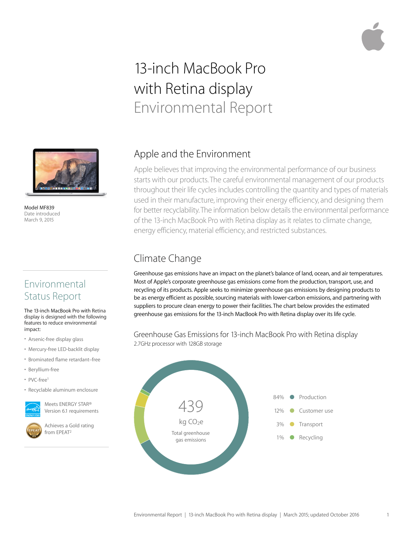# 13-inch MacBook Pro with Retina display Environmental Report



Model MF839 Date introduced March 9, 2015

# Environmental Status Report

The 13-inch MacBook Pro with Retina display is designed with the following features to reduce environmental impact:

- Arsenic-free display glass
- Mercury-free LED-backlit display
- Brominated flame retardant–free
- Beryllium-free
- PVC-free1
- Recyclable aluminum enclosure



Meets ENERGY STAR® Version 6.1 requirements

Achieves a Gold rating from EPEAT2

## Apple and the Environment

Apple believes that improving the environmental performance of our business starts with our products. The careful environmental management of our products throughout their life cycles includes controlling the quantity and types of materials used in their manufacture, improving their energy efficiency, and designing them for better recyclability. The information below details the environmental performance of the 13-inch MacBook Pro with Retina display as it relates to climate change, energy efficiency, material efficiency, and restricted substances.

# Climate Change

Greenhouse gas emissions have an impact on the planet's balance of land, ocean, and air temperatures. Most of Apple's corporate greenhouse gas emissions come from the production, transport, use, and recycling of its products. Apple seeks to minimize greenhouse gas emissions by designing products to be as energy efficient as possible, sourcing materials with lower-carbon emissions, and partnering with suppliers to procure clean energy to power their facilities. The chart below provides the estimated greenhouse gas emissions for the 13-inch MacBook Pro with Retina display over its life cycle.

#### Greenhouse Gas Emissions for 13-inch MacBook Pro with Retina display 2.7GHz processor with 128GB storage

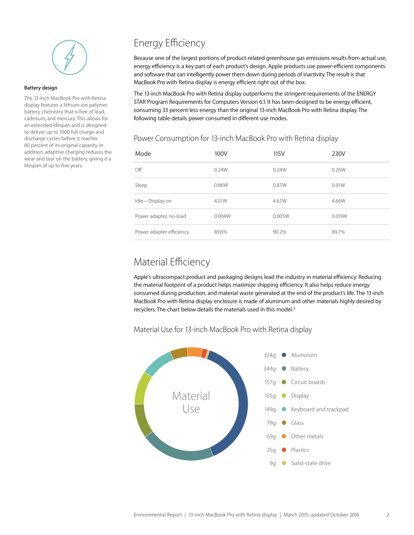

#### **Battery design**

The 13-inch MacBook Pro with Retina display features a lithium-ion polymer battery chemistry that is free of lead, cadmium, and mercury. This allows for an extended lifespan and is designed to deliver up to 1000 full charge and discharge cycles before it reaches 80 percent of its original capacity. In addition, adaptive charging reduces the wear and tear on the battery, giving it a lifespan of up to five years.

# Energy Efficiency

Because one of the largest portions of product-related greenhouse gas emissions results from actual use, energy efficiency is a key part of each product's design. Apple products use power-efficient components and software that can intelligently power them down during periods of inactivity. The result is that MacBook Pro with Retina display is energy efficient right out of the box.

The 13-inch MacBook Pro with Retina display outperforms the stringent requirements of the ENERGY STAR Program Requirements for Computers Version 6.1. It has been designed to be energy efficient, consuming 33 percent less energy than the original 13-inch MacBook Pro with Retina display. The following table details power consumed in different use modes.

| Mode                     | 100V   | 115V   | 230V   |
|--------------------------|--------|--------|--------|
| Off                      | 0.24W  | 0.24W  | 0.26W  |
| Sleep                    | 0.86W  | 0.87W  | 0.91W  |
| Idle-Display on          | 4.51W  | 4.67W  | 4.66W  |
| Power adapter, no-load   | 0.004W | 0.005W | 0.019W |
| Power adapter efficiency | 89.6%  | 90.2%  | 89.7%  |

#### Power Consumption for 13-inch MacBook Pro with Retina display

### Material Efficiency

Apple's ultracompact product and packaging designs lead the industry in material efficiency. Reducing the material footprint of a product helps maximize shipping efficiency. It also helps reduce energy consumed during production, and material waste generated at the end of the product's life. The 13-inch MacBook Pro with Retina display enclosure is made of aluminum and other materials highly desired by recyclers. The chart below details the materials used in this model.<sup>3</sup>

Material Use for 13-inch MacBook Pro with Retina display

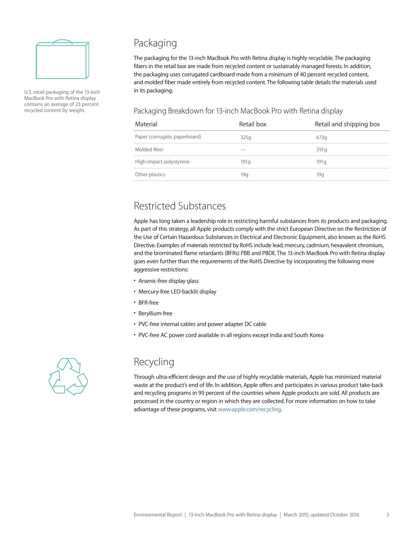

U.S. retail packaging of the 13-inch MacBook Pro with Retina display contains an average of 23 percent recycled content by weight.

# Packaging

The packaging for the 13-inch MacBook Pro with Retina display is highly recyclable. The packaging fibers in the retail box are made from recycled content or sustainably managed forests. In addition, the packaging uses corrugated cardboard made from a minimum of 40 percent recycled content, and molded fiber made entirely from recycled content. The following table details the materials used in its packaging.

#### Packaging Breakdown for 13-inch MacBook Pro with Retina display

| Material                      | Retail box | Retail and shipping box |
|-------------------------------|------------|-------------------------|
| Paper (corrugate, paperboard) | 325q       | 673q                    |
| Molded fiber                  |            | 291q                    |
| High-impact polystyrene       | 191q       | 191q                    |
| Other plastics                | 19q        | 19g                     |

## Restricted Substances

Apple has long taken a leadership role in restricting harmful substances from its products and packaging. As part of this strategy, all Apple products comply with the strict European Directive on the Restriction of the Use of Certain Hazardous Substances in Electrical and Electronic Equipment, also known as the RoHS Directive. Examples of materials restricted by RoHS include lead, mercury, cadmium, hexavalent chromium, and the brominated flame retardants (BFRs) PBB and PBDE. The 13-inch MacBook Pro with Retina display goes even further than the requirements of the RoHS Directive by incorporating the following more aggressive restrictions:

- Arsenic-free display glass
- Mercury-free LED-backlit display
- BFR-free
- Beryllium-free
- PVC-free internal cables and power adapter DC cable
- PVC-free AC power cord available in all regions except India and South Korea



### Recycling

Through ultra-efficient design and the use of highly recyclable materials, Apple has minimized material waste at the product's end of life. In addition, Apple offers and participates in various product take-back and recycling programs in 99 percent of the countries where Apple products are sold. All products are processed in the country or region in which they are collected. For more information on how to take advantage of these programs, visit [www.apple.com/recycling.](http://www.apple.com/recycling)